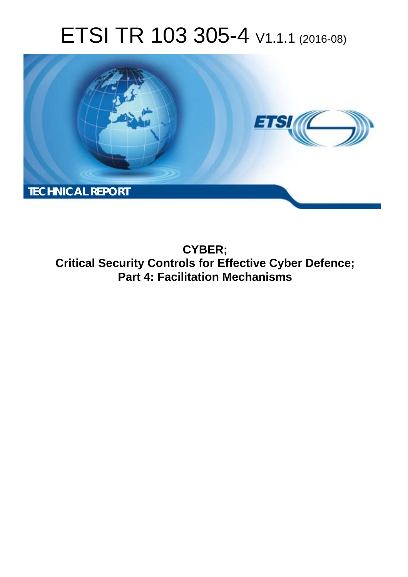# ETSI TR 103 305-4 V1.1.1 (2016-08)



**CYBER; Critical Security Controls for Effective Cyber Defence; Part 4: Facilitation Mechanisms**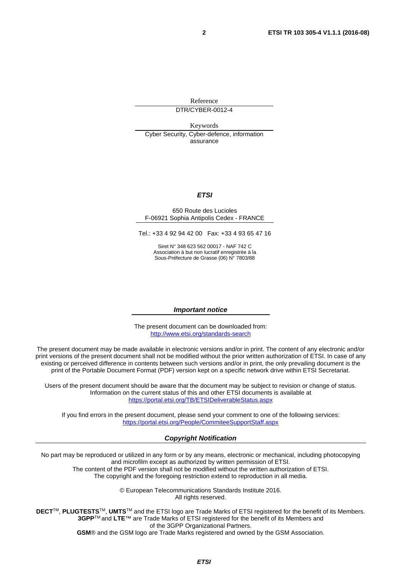Reference DTR/CYBER-0012-4

Keywords Cyber Security, Cyber-defence, information assurance

#### *ETSI*

#### 650 Route des Lucioles F-06921 Sophia Antipolis Cedex - FRANCE

Tel.: +33 4 92 94 42 00 Fax: +33 4 93 65 47 16

Siret N° 348 623 562 00017 - NAF 742 C Association à but non lucratif enregistrée à la Sous-Préfecture de Grasse (06) N° 7803/88

#### *Important notice*

The present document can be downloaded from: <http://www.etsi.org/standards-search>

The present document may be made available in electronic versions and/or in print. The content of any electronic and/or print versions of the present document shall not be modified without the prior written authorization of ETSI. In case of any existing or perceived difference in contents between such versions and/or in print, the only prevailing document is the print of the Portable Document Format (PDF) version kept on a specific network drive within ETSI Secretariat.

Users of the present document should be aware that the document may be subject to revision or change of status. Information on the current status of this and other ETSI documents is available at <https://portal.etsi.org/TB/ETSIDeliverableStatus.aspx>

If you find errors in the present document, please send your comment to one of the following services: <https://portal.etsi.org/People/CommiteeSupportStaff.aspx>

#### *Copyright Notification*

No part may be reproduced or utilized in any form or by any means, electronic or mechanical, including photocopying and microfilm except as authorized by written permission of ETSI.

The content of the PDF version shall not be modified without the written authorization of ETSI. The copyright and the foregoing restriction extend to reproduction in all media.

> © European Telecommunications Standards Institute 2016. All rights reserved.

**DECT**TM, **PLUGTESTS**TM, **UMTS**TM and the ETSI logo are Trade Marks of ETSI registered for the benefit of its Members. **3GPP**TM and **LTE**™ are Trade Marks of ETSI registered for the benefit of its Members and of the 3GPP Organizational Partners.

**GSM**® and the GSM logo are Trade Marks registered and owned by the GSM Association.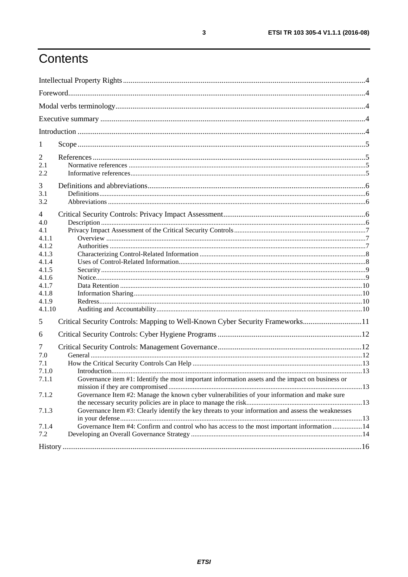## Contents

| 1              |                                                                                                    |  |  |  |  |
|----------------|----------------------------------------------------------------------------------------------------|--|--|--|--|
| 2              |                                                                                                    |  |  |  |  |
| 2.1            |                                                                                                    |  |  |  |  |
| 2.2            |                                                                                                    |  |  |  |  |
| 3              |                                                                                                    |  |  |  |  |
| 3.1            |                                                                                                    |  |  |  |  |
| 3.2            |                                                                                                    |  |  |  |  |
| 4              |                                                                                                    |  |  |  |  |
| 4.0            |                                                                                                    |  |  |  |  |
| 4.1            |                                                                                                    |  |  |  |  |
| 4.1.1          |                                                                                                    |  |  |  |  |
| 4.1.2          |                                                                                                    |  |  |  |  |
| 4.1.3          |                                                                                                    |  |  |  |  |
| 4.1.4          |                                                                                                    |  |  |  |  |
| 4.1.5<br>4.1.6 |                                                                                                    |  |  |  |  |
| 4.1.7          |                                                                                                    |  |  |  |  |
| 4.1.8          |                                                                                                    |  |  |  |  |
| 4.1.9          |                                                                                                    |  |  |  |  |
| 4.1.10         |                                                                                                    |  |  |  |  |
| 5              | Critical Security Controls: Mapping to Well-Known Cyber Security Frameworks11                      |  |  |  |  |
| 6              |                                                                                                    |  |  |  |  |
| 7              |                                                                                                    |  |  |  |  |
| 7.0            |                                                                                                    |  |  |  |  |
| 7.1            |                                                                                                    |  |  |  |  |
| 7.1.0          |                                                                                                    |  |  |  |  |
| 7.1.1          | Governance item #1: Identify the most important information assets and the impact on business or   |  |  |  |  |
|                |                                                                                                    |  |  |  |  |
| 7.1.2          | Governance Item #2: Manage the known cyber vulnerabilities of your information and make sure       |  |  |  |  |
|                |                                                                                                    |  |  |  |  |
| 7.1.3          | Governance Item #3: Clearly identify the key threats to your information and assess the weaknesses |  |  |  |  |
| 7.1.4          | Governance Item #4: Confirm and control who has access to the most important information  14       |  |  |  |  |
| 7.2            |                                                                                                    |  |  |  |  |
|                |                                                                                                    |  |  |  |  |
|                |                                                                                                    |  |  |  |  |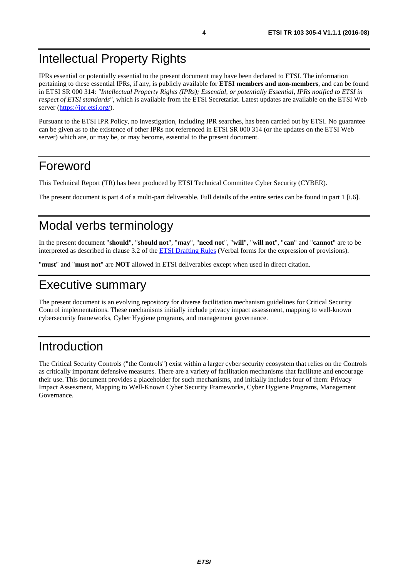### <span id="page-3-0"></span>Intellectual Property Rights

IPRs essential or potentially essential to the present document may have been declared to ETSI. The information pertaining to these essential IPRs, if any, is publicly available for **ETSI members and non-members**, and can be found in ETSI SR 000 314: *"Intellectual Property Rights (IPRs); Essential, or potentially Essential, IPRs notified to ETSI in respect of ETSI standards"*, which is available from the ETSI Secretariat. Latest updates are available on the ETSI Web server (<https://ipr.etsi.org/>).

Pursuant to the ETSI IPR Policy, no investigation, including IPR searches, has been carried out by ETSI. No guarantee can be given as to the existence of other IPRs not referenced in ETSI SR 000 314 (or the updates on the ETSI Web server) which are, or may be, or may become, essential to the present document.

### Foreword

This Technical Report (TR) has been produced by ETSI Technical Committee Cyber Security (CYBER).

The present document is part 4 of a multi-part deliverable. Full details of the entire series can be found in part 1 [[i.6](#page-4-0)].

## Modal verbs terminology

In the present document "**should**", "**should not**", "**may**", "**need not**", "**will**", "**will not**", "**can**" and "**cannot**" are to be interpreted as described in clause 3.2 of the [ETSI Drafting Rules](https://portal.etsi.org/Services/editHelp!/Howtostart/ETSIDraftingRules.aspx) (Verbal forms for the expression of provisions).

"**must**" and "**must not**" are **NOT** allowed in ETSI deliverables except when used in direct citation.

### Executive summary

The present document is an evolving repository for diverse facilitation mechanism guidelines for Critical Security Control implementations. These mechanisms initially include privacy impact assessment, mapping to well-known cybersecurity frameworks, Cyber Hygiene programs, and management governance.

### Introduction

The Critical Security Controls ("the Controls") exist within a larger cyber security ecosystem that relies on the Controls as critically important defensive measures. There are a variety of facilitation mechanisms that facilitate and encourage their use. This document provides a placeholder for such mechanisms, and initially includes four of them: Privacy Impact Assessment, Mapping to Well-Known Cyber Security Frameworks, Cyber Hygiene Programs, Management Governance.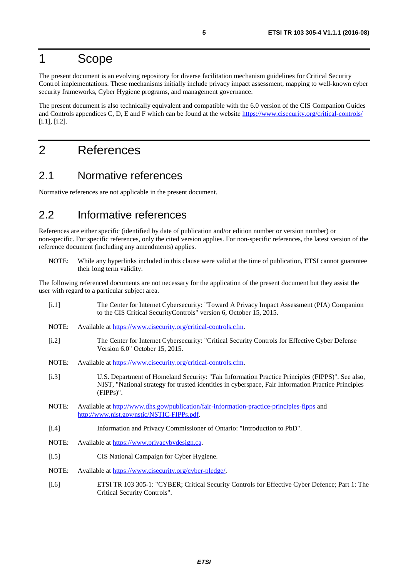### <span id="page-4-0"></span>1 Scope

The present document is an evolving repository for diverse facilitation mechanism guidelines for Critical Security Control implementations. These mechanisms initially include privacy impact assessment, mapping to well-known cyber security frameworks, Cyber Hygiene programs, and management governance.

The present document is also technically equivalent and compatible with the 6.0 version of the CIS Companion Guides and Controls appendices C, D, E and F which can be found at the website<https://www.cisecurity.org/critical-controls/> [i.1], [i.2].

### 2 References

#### 2.1 Normative references

Normative references are not applicable in the present document.

#### 2.2 Informative references

References are either specific (identified by date of publication and/or edition number or version number) or non-specific. For specific references, only the cited version applies. For non-specific references, the latest version of the reference document (including any amendments) applies.

NOTE: While any hyperlinks included in this clause were valid at the time of publication, ETSI cannot guarantee their long term validity.

The following referenced documents are not necessary for the application of the present document but they assist the user with regard to a particular subject area.

| [i.1]   | The Center for Internet Cybersecurity: "Toward A Privacy Impact Assessment (PIA) Companion<br>to the CIS Critical Security Controls" version 6, October 15, 2015.                                                      |  |  |
|---------|------------------------------------------------------------------------------------------------------------------------------------------------------------------------------------------------------------------------|--|--|
| NOTE:   | Available at https://www.cisecurity.org/critical-controls.cfm.                                                                                                                                                         |  |  |
| $[1.2]$ | The Center for Internet Cybersecurity: "Critical Security Controls for Effective Cyber Defense<br>Version 6.0" October 15, 2015.                                                                                       |  |  |
| NOTE:   | Available at https://www.cisecurity.org/critical-controls.cfm.                                                                                                                                                         |  |  |
| [i.3]   | U.S. Department of Homeland Security: "Fair Information Practice Principles (FIPPS)". See also,<br>NIST, "National strategy for trusted identities in cyberspace, Fair Information Practice Principles<br>$(FIPPs)$ ". |  |  |
| NOTE:   | Available at http://www.dhs.gov/publication/fair-information-practice-principles-fipps and<br>http://www.nist.gov/nstic/NSTIC-FIPPs.pdf.                                                                               |  |  |
| [i.4]   | Information and Privacy Commissioner of Ontario: "Introduction to PbD".                                                                                                                                                |  |  |
| NOTE:   | Available at https://www.privacybydesign.ca.                                                                                                                                                                           |  |  |
| [i.5]   | CIS National Campaign for Cyber Hygiene.                                                                                                                                                                               |  |  |
| NOTE:   | Available at https://www.cisecurity.org/cyber-pledge/.                                                                                                                                                                 |  |  |
| $[1.6]$ | ETSI TR 103 305-1: "CYBER; Critical Security Controls for Effective Cyber Defence; Part 1: The<br>Critical Security Controls".                                                                                         |  |  |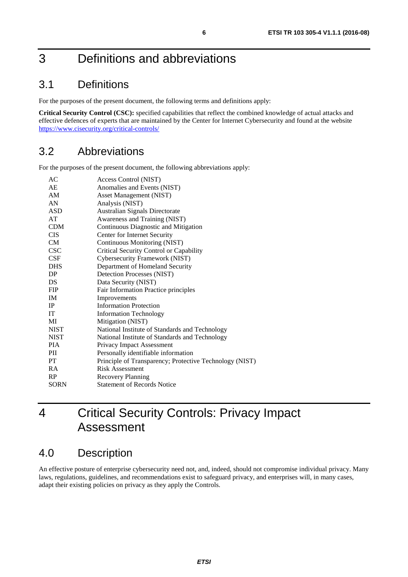## <span id="page-5-0"></span>3 Definitions and abbreviations

### 3.1 Definitions

For the purposes of the present document, the following terms and definitions apply:

**Critical Security Control (CSC):** specified capabilities that reflect the combined knowledge of actual attacks and effective defences of experts that are maintained by the Center for Internet Cybersecurity and found at the website <https://www.cisecurity.org/critical-controls/>

### 3.2 Abbreviations

For the purposes of the present document, the following abbreviations apply:

| AC          | Access Control (NIST)                                   |
|-------------|---------------------------------------------------------|
| AE          | Anomalies and Events (NIST)                             |
| AM          | <b>Asset Management (NIST)</b>                          |
| AN          | Analysis (NIST)                                         |
| <b>ASD</b>  | Australian Signals Directorate                          |
| AT          | Awareness and Training (NIST)                           |
| <b>CDM</b>  | Continuous Diagnostic and Mitigation                    |
| <b>CIS</b>  | Center for Internet Security                            |
| CM          | Continuous Monitoring (NIST)                            |
| <b>CSC</b>  | Critical Security Control or Capability                 |
| CSF         | Cybersecurity Framework (NIST)                          |
| <b>DHS</b>  | Department of Homeland Security                         |
| DP          | Detection Processes (NIST)                              |
| DS.         | Data Security (NIST)                                    |
| <b>FIP</b>  | Fair Information Practice principles                    |
| <b>IM</b>   | Improvements                                            |
| IP          | <b>Information Protection</b>                           |
| <b>IT</b>   | <b>Information Technology</b>                           |
| MI          | Mitigation (NIST)                                       |
| <b>NIST</b> | National Institute of Standards and Technology          |
| <b>NIST</b> | National Institute of Standards and Technology          |
| <b>PIA</b>  | Privacy Impact Assessment                               |
| PII         | Personally identifiable information                     |
| <b>PT</b>   | Principle of Transparency; Protective Technology (NIST) |
| RA          | <b>Risk Assessment</b>                                  |
| RP          | <b>Recovery Planning</b>                                |
| <b>SORN</b> | <b>Statement of Records Notice</b>                      |

## 4 Critical Security Controls: Privacy Impact Assessment

### 4.0 Description

An effective posture of enterprise cybersecurity need not, and, indeed, should not compromise individual privacy. Many laws, regulations, guidelines, and recommendations exist to safeguard privacy, and enterprises will, in many cases, adapt their existing policies on privacy as they apply the Controls.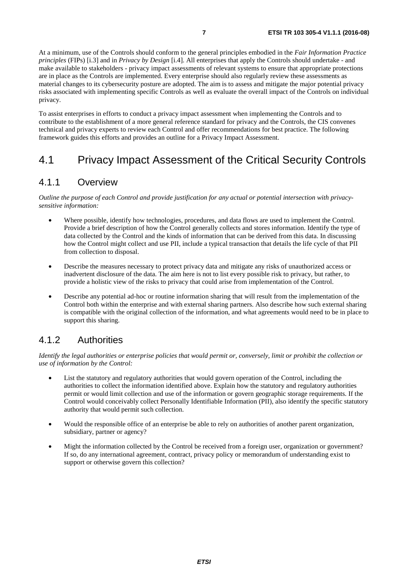<span id="page-6-0"></span>At a minimum, use of the Controls should conform to the general principles embodied in the *Fair Information Practice principles* (FIPs) [[i.3](#page-4-0)] and in *Privacy by Design* [[i.4](#page-4-0)]. All enterprises that apply the Controls should undertake - and make available to stakeholders - privacy impact assessments of relevant systems to ensure that appropriate protections are in place as the Controls are implemented. Every enterprise should also regularly review these assessments as material changes to its cybersecurity posture are adopted. The aim is to assess and mitigate the major potential privacy risks associated with implementing specific Controls as well as evaluate the overall impact of the Controls on individual privacy.

To assist enterprises in efforts to conduct a privacy impact assessment when implementing the Controls and to contribute to the establishment of a more general reference standard for privacy and the Controls, the CIS convenes technical and privacy experts to review each Control and offer recommendations for best practice. The following framework guides this efforts and provides an outline for a Privacy Impact Assessment.

### 4.1 Privacy Impact Assessment of the Critical Security Controls

#### 4.1.1 Overview

*Outline the purpose of each Control and provide justification for any actual or potential intersection with privacysensitive information:* 

- Where possible, identify how technologies, procedures, and data flows are used to implement the Control. Provide a brief description of how the Control generally collects and stores information. Identify the type of data collected by the Control and the kinds of information that can be derived from this data. In discussing how the Control might collect and use PII, include a typical transaction that details the life cycle of that PII from collection to disposal.
- Describe the measures necessary to protect privacy data and mitigate any risks of unauthorized access or inadvertent disclosure of the data. The aim here is not to list every possible risk to privacy, but rather, to provide a holistic view of the risks to privacy that could arise from implementation of the Control.
- Describe any potential ad-hoc or routine information sharing that will result from the implementation of the Control both within the enterprise and with external sharing partners. Also describe how such external sharing is compatible with the original collection of the information, and what agreements would need to be in place to support this sharing.

#### 4.1.2 Authorities

*Identify the legal authorities or enterprise policies that would permit or, conversely, limit or prohibit the collection or use of information by the Control:* 

- List the statutory and regulatory authorities that would govern operation of the Control, including the authorities to collect the information identified above. Explain how the statutory and regulatory authorities permit or would limit collection and use of the information or govern geographic storage requirements. If the Control would conceivably collect Personally Identifiable Information (PII), also identify the specific statutory authority that would permit such collection.
- Would the responsible office of an enterprise be able to rely on authorities of another parent organization, subsidiary, partner or agency?
- Might the information collected by the Control be received from a foreign user, organization or government? If so, do any international agreement, contract, privacy policy or memorandum of understanding exist to support or otherwise govern this collection?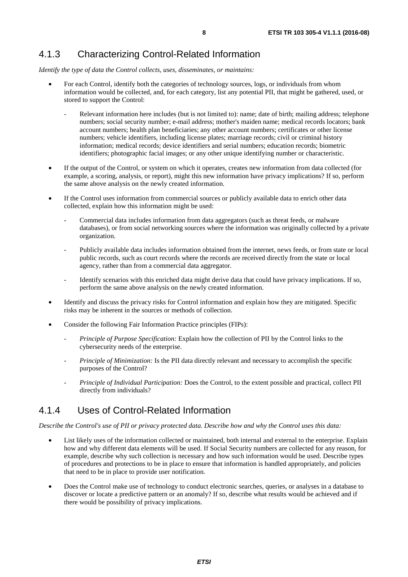#### <span id="page-7-0"></span>4.1.3 Characterizing Control-Related Information

*Identify the type of data the Control collects, uses, disseminates, or maintains:* 

- For each Control, identify both the categories of technology sources, logs, or individuals from whom information would be collected, and, for each category, list any potential PII, that might be gathered, used, or stored to support the Control:
	- Relevant information here includes (but is not limited to): name; date of birth; mailing address; telephone numbers; social security number; e-mail address; mother's maiden name; medical records locators; bank account numbers; health plan beneficiaries; any other account numbers; certificates or other license numbers; vehicle identifiers, including license plates; marriage records; civil or criminal history information; medical records; device identifiers and serial numbers; education records; biometric identifiers; photographic facial images; or any other unique identifying number or characteristic.
- If the output of the Control, or system on which it operates, creates new information from data collected (for example, a scoring, analysis, or report), might this new information have privacy implications? If so, perform the same above analysis on the newly created information.
- If the Control uses information from commercial sources or publicly available data to enrich other data collected, explain how this information might be used:
	- Commercial data includes information from data aggregators (such as threat feeds, or malware databases), or from social networking sources where the information was originally collected by a private organization.
	- Publicly available data includes information obtained from the internet, news feeds, or from state or local public records, such as court records where the records are received directly from the state or local agency, rather than from a commercial data aggregator.
	- Identify scenarios with this enriched data might derive data that could have privacy implications. If so, perform the same above analysis on the newly created information.
- Identify and discuss the privacy risks for Control information and explain how they are mitigated. Specific risks may be inherent in the sources or methods of collection.
- Consider the following Fair Information Practice principles (FIPs):
	- *Principle of Purpose Specification:* Explain how the collection of PII by the Control links to the cybersecurity needs of the enterprise.
	- *Principle of Minimization:* Is the PII data directly relevant and necessary to accomplish the specific purposes of the Control?
	- *Principle of Individual Participation:* Does the Control, to the extent possible and practical, collect PII directly from individuals?

#### 4.1.4 Uses of Control-Related Information

*Describe the Control's use of PII or privacy protected data. Describe how and why the Control uses this data:* 

- List likely uses of the information collected or maintained, both internal and external to the enterprise. Explain how and why different data elements will be used. If Social Security numbers are collected for any reason, for example, describe why such collection is necessary and how such information would be used. Describe types of procedures and protections to be in place to ensure that information is handled appropriately, and policies that need to be in place to provide user notification.
- Does the Control make use of technology to conduct electronic searches, queries, or analyses in a database to discover or locate a predictive pattern or an anomaly? If so, describe what results would be achieved and if there would be possibility of privacy implications.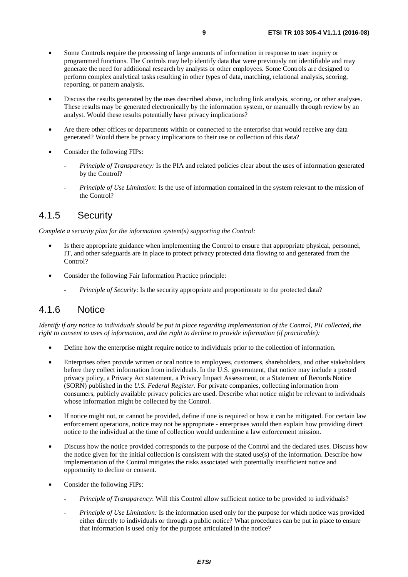- <span id="page-8-0"></span>• Some Controls require the processing of large amounts of information in response to user inquiry or programmed functions. The Controls may help identify data that were previously not identifiable and may generate the need for additional research by analysts or other employees. Some Controls are designed to perform complex analytical tasks resulting in other types of data, matching, relational analysis, scoring, reporting, or pattern analysis.
- Discuss the results generated by the uses described above, including link analysis, scoring, or other analyses. These results may be generated electronically by the information system, or manually through review by an analyst. Would these results potentially have privacy implications?
- Are there other offices or departments within or connected to the enterprise that would receive any data generated? Would there be privacy implications to their use or collection of this data?
- Consider the following FIPs:
	- *Principle of Transparency:* Is the PIA and related policies clear about the uses of information generated by the Control?
	- *Principle of Use Limitation*: Is the use of information contained in the system relevant to the mission of the Control?

#### 4.1.5 Security

*Complete a security plan for the information system(s) supporting the Control:* 

- Is there appropriate guidance when implementing the Control to ensure that appropriate physical, personnel, IT, and other safeguards are in place to protect privacy protected data flowing to and generated from the Control?
- Consider the following Fair Information Practice principle:
	- *Principle of Security*: Is the security appropriate and proportionate to the protected data?

#### 4.1.6 Notice

*Identify if any notice to individuals should be put in place regarding implementation of the Control, PII collected, the right to consent to uses of information, and the right to decline to provide information (if practicable):* 

- Define how the enterprise might require notice to individuals prior to the collection of information.
- Enterprises often provide written or oral notice to employees, customers, shareholders, and other stakeholders before they collect information from individuals. In the U.S. government, that notice may include a posted privacy policy, a Privacy Act statement, a Privacy Impact Assessment, or a Statement of Records Notice (SORN) published in the *U.S. Federal Register*. For private companies, collecting information from consumers, publicly available privacy policies are used. Describe what notice might be relevant to individuals whose information might be collected by the Control.
- If notice might not, or cannot be provided, define if one is required or how it can be mitigated. For certain law enforcement operations, notice may not be appropriate - enterprises would then explain how providing direct notice to the individual at the time of collection would undermine a law enforcement mission.
- Discuss how the notice provided corresponds to the purpose of the Control and the declared uses. Discuss how the notice given for the initial collection is consistent with the stated use(s) of the information. Describe how implementation of the Control mitigates the risks associated with potentially insufficient notice and opportunity to decline or consent.
- Consider the following FIPs:
	- *Principle of Transparency*: Will this Control allow sufficient notice to be provided to individuals?
	- *Principle of Use Limitation:* Is the information used only for the purpose for which notice was provided either directly to individuals or through a public notice? What procedures can be put in place to ensure that information is used only for the purpose articulated in the notice?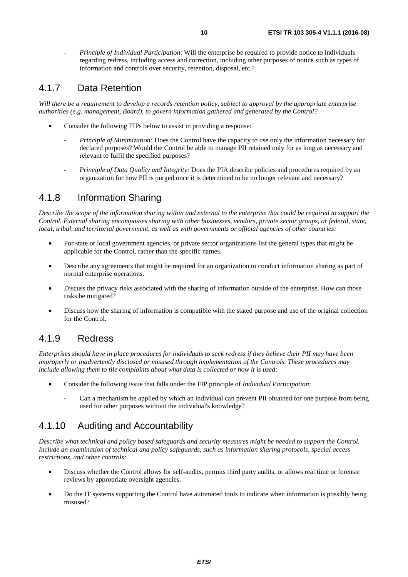<span id="page-9-0"></span>- *Principle of Individual Participation*: Will the enterprise be required to provide notice to individuals regarding redress, including access and correction, including other purposes of notice such as types of information and controls over security, retention, disposal, etc.?

#### 4.1.7 Data Retention

*Will there be a requirement to develop a records retention policy, subject to approval by the appropriate enterprise authorities (e.g. management, Board), to govern information gathered and generated by the Control?* 

- Consider the following FIPs below to assist in providing a response:
	- *Principle of Minimization:* Does the Control have the capacity to use only the information necessary for declared purposes? Would the Control be able to manage PII retained only for as long as necessary and relevant to fulfil the specified purposes?
	- *Principle of Data Quality and Integrity:* Does the PIA describe policies and procedures required by an organization for how PII is purged once it is determined to be no longer relevant and necessary?

#### 4.1.8 Information Sharing

*Describe the scope of the information sharing within and external to the enterprise that could be required to support the Control. External sharing encompasses sharing with other businesses, vendors, private sector groups, or federal, state, local, tribal, and territorial government, as well as with governments or official agencies of other countries:*

- For state or local government agencies, or private sector organizations list the general types that might be applicable for the Control, rather than the specific names.
- Describe any agreements that might be required for an organization to conduct information sharing as part of normal enterprise operations.
- Discuss the privacy risks associated with the sharing of information outside of the enterprise. How can those risks be mitigated?
- Discuss how the sharing of information is compatible with the stated purpose and use of the original collection for the Control.

#### 4.1.9 Redress

*Enterprises should have in place procedures for individuals to seek redress if they believe their PII may have been improperly or inadvertently disclosed or misused through implementation of the Controls. These procedures may include allowing them to file complaints about what data is collected or how it is used:* 

- Consider the following issue that falls under the FIP principle of *Individual Participation*:
	- Can a mechanism be applied by which an individual can prevent PII obtained for one purpose from being used for other purposes without the individual's knowledge?

#### 4.1.10 Auditing and Accountability

*Describe what technical and policy based safeguards and security measures might be needed to support the Control. Include an examination of technical and policy safeguards, such as information sharing protocols, special access restrictions, and other controls:* 

- Discuss whether the Control allows for self-audits, permits third party audits, or allows real time or forensic reviews by appropriate oversight agencies.
- Do the IT systems supporting the Control have automated tools to indicate when information is possibly being misused?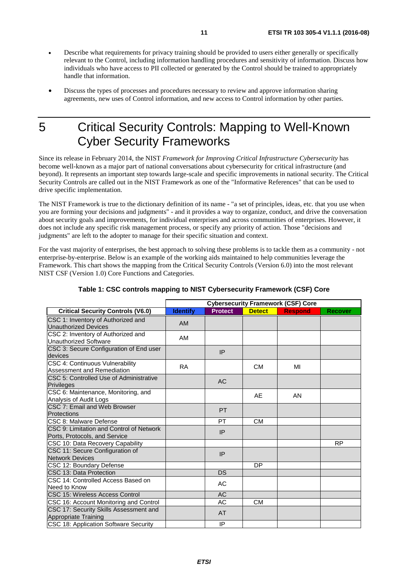- <span id="page-10-0"></span>• Describe what requirements for privacy training should be provided to users either generally or specifically relevant to the Control, including information handling procedures and sensitivity of information. Discuss how individuals who have access to PII collected or generated by the Control should be trained to appropriately handle that information.
- Discuss the types of processes and procedures necessary to review and approve information sharing agreements, new uses of Control information, and new access to Control information by other parties.

### 5 Critical Security Controls: Mapping to Well-Known Cyber Security Frameworks

Since its release in February 2014, the NIST *Framework for Improving Critical Infrastructure Cybersecurity* has become well-known as a major part of national conversations about cybersecurity for critical infrastructure (and beyond). It represents an important step towards large-scale and specific improvements in national security. The Critical Security Controls are called out in the NIST Framework as one of the "Informative References" that can be used to drive specific implementation.

The NIST Framework is true to the dictionary definition of its name - "a set of principles, ideas, etc. that you use when you are forming your decisions and judgments" - and it provides a way to organize, conduct, and drive the conversation about security goals and improvements, for individual enterprises and across communities of enterprises. However, it does not include any specific risk management process, or specify any priority of action. Those "decisions and judgments" are left to the adopter to manage for their specific situation and context.

For the vast majority of enterprises, the best approach to solving these problems is to tackle them as a community - not enterprise-by-enterprise. Below is an example of the working aids maintained to help communities leverage the Framework. This chart shows the mapping from the Critical Security Controls (Version 6.0) into the most relevant NIST CSF (Version 1.0) Core Functions and Categories.

|                                                                           | <b>Cybersecurity Framework (CSF) Core</b> |                |               |                |                |
|---------------------------------------------------------------------------|-------------------------------------------|----------------|---------------|----------------|----------------|
| <b>Critical Security Controls (V6.0)</b>                                  | <b>Identify</b>                           | <b>Protect</b> | <b>Detect</b> | <b>Respond</b> | <b>Recover</b> |
| CSC 1: Inventory of Authorized and<br><b>Unauthorized Devices</b>         | <b>AM</b>                                 |                |               |                |                |
| CSC 2: Inventory of Authorized and<br><b>Unauthorized Software</b>        | AM                                        |                |               |                |                |
| CSC 3: Secure Configuration of End user<br>devices                        |                                           | IP             |               |                |                |
| CSC 4: Continuous Vulnerability<br>Assessment and Remediation             | <b>RA</b>                                 |                | CМ            | MI             |                |
| CSC 5: Controlled Use of Administrative<br>Privileges                     |                                           | <b>AC</b>      |               |                |                |
| CSC 6: Maintenance, Monitoring, and<br>Analysis of Audit Logs             |                                           |                | AE            | AN.            |                |
| CSC 7: Email and Web Browser<br>Protections                               |                                           | PT             |               |                |                |
| <b>CSC 8: Malware Defense</b>                                             |                                           | <b>PT</b>      | <b>CM</b>     |                |                |
| CSC 9: Limitation and Control of Network<br>Ports, Protocols, and Service |                                           | IP             |               |                |                |
| CSC 10: Data Recovery Capability                                          |                                           |                |               |                | <b>RP</b>      |
| CSC 11: Secure Configuration of<br><b>Network Devices</b>                 |                                           | IP             |               |                |                |
| CSC 12: Boundary Defense                                                  |                                           |                | DP            |                |                |
| CSC 13: Data Protection                                                   |                                           | <b>DS</b>      |               |                |                |
| CSC 14: Controlled Access Based on<br>Need to Know                        |                                           | AC             |               |                |                |
| CSC 15: Wireless Access Control                                           |                                           | <b>AC</b>      |               |                |                |
| CSC 16: Account Monitoring and Control                                    |                                           | AC             | <b>CM</b>     |                |                |
| CSC 17: Security Skills Assessment and<br><b>Appropriate Training</b>     |                                           | AT             |               |                |                |
| CSC 18: Application Software Security                                     |                                           | IP             |               |                |                |

#### **Table 1: CSC controls mapping to NIST Cybersecurity Framework (CSF) Core**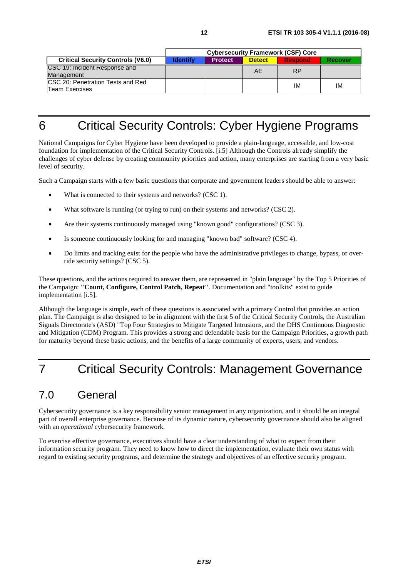<span id="page-11-0"></span>

|                                                      |          |                |               | <b>Cybersecurity Framework (CSF) Core</b> |                |
|------------------------------------------------------|----------|----------------|---------------|-------------------------------------------|----------------|
| <b>Critical Security Controls (V6.0)</b>             | ldentifv | <b>Protect</b> | <b>Detect</b> | <b>Respond</b>                            | <b>Recover</b> |
| CSC 19: Incident Response and<br>Management          |          |                | AF            | RP                                        |                |
| ICSC 20: Penetration Tests and Red<br>Team Exercises |          |                |               | ΙM                                        | ΙM             |

## 6 Critical Security Controls: Cyber Hygiene Programs

National Campaigns for Cyber Hygiene have been developed to provide a plain-language, accessible, and low-cost foundation for implementation of the Critical Security Controls. [\[i.5\]](#page-4-0) Although the Controls already simplify the challenges of cyber defense by creating community priorities and action, many enterprises are starting from a very basic level of security.

Such a Campaign starts with a few basic questions that corporate and government leaders should be able to answer:

- What is connected to their systems and networks? (CSC 1).
- What software is running (or trying to run) on their systems and networks? (CSC 2).
- Are their systems continuously managed using "known good" configurations? (CSC 3).
- Is someone continuously looking for and managing "known bad" software? (CSC 4).
- Do limits and tracking exist for the people who have the administrative privileges to change, bypass, or override security settings? (CSC 5).

These questions, and the actions required to answer them, are represented in "plain language" by the Top 5 Priorities of the Campaign: **"Count, Configure, Control Patch, Repeat"**. Documentation and "toolkits" exist to guide implementation [\[i.5](#page-4-0)].

Although the language is simple, each of these questions is associated with a primary Control that provides an action plan. The Campaign is also designed to be in alignment with the first 5 of the Critical Security Controls, the Australian Signals Directorate's (ASD) "Top Four Strategies to Mitigate Targeted Intrusions, and the DHS Continuous Diagnostic and Mitigation (CDM) Program. This provides a strong and defendable basis for the Campaign Priorities, a growth path for maturity beyond these basic actions, and the benefits of a large community of experts, users, and vendors.

## 7 Critical Security Controls: Management Governance

### 7.0 General

Cybersecurity governance is a key responsibility senior management in any organization, and it should be an integral part of overall enterprise governance. Because of its dynamic nature, cybersecurity governance should also be aligned with an *operational* cybersecurity framework.

To exercise effective governance, executives should have a clear understanding of what to expect from their information security program. They need to know how to direct the implementation, evaluate their own status with regard to existing security programs, and determine the strategy and objectives of an effective security program.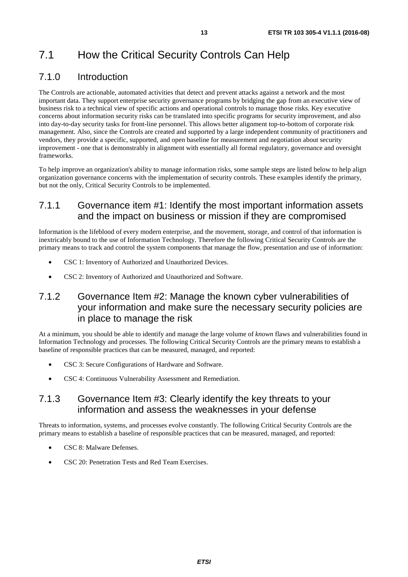#### <span id="page-12-0"></span>7.1.0 Introduction

The Controls are actionable, automated activities that detect and prevent attacks against a network and the most important data. They support enterprise security governance programs by bridging the gap from an executive view of business risk to a technical view of specific actions and operational controls to manage those risks. Key executive concerns about information security risks can be translated into specific programs for security improvement, and also into day-to-day security tasks for front-line personnel. This allows better alignment top-to-bottom of corporate risk management. Also, since the Controls are created and supported by a large independent community of practitioners and vendors, they provide a specific, supported, and open baseline for measurement and negotiation about security improvement - one that is demonstrably in alignment with essentially all formal regulatory, governance and oversight frameworks.

To help improve an organization's ability to manage information risks, some sample steps are listed below to help align organization governance concerns with the implementation of security controls. These examples identify the primary, but not the only, Critical Security Controls to be implemented.

#### 7.1.1 Governance item #1: Identify the most important information assets and the impact on business or mission if they are compromised

Information is the lifeblood of every modern enterprise, and the movement, storage, and control of that information is inextricably bound to the use of Information Technology. Therefore the following Critical Security Controls are the primary means to track and control the system components that manage the flow, presentation and use of information:

- CSC 1: Inventory of Authorized and Unauthorized Devices.
- CSC 2: Inventory of Authorized and Unauthorized and Software.

#### 7.1.2 Governance Item #2: Manage the known cyber vulnerabilities of your information and make sure the necessary security policies are in place to manage the risk

At a minimum, you should be able to identify and manage the large volume of *known* flaws and vulnerabilities found in Information Technology and processes. The following Critical Security Controls are the primary means to establish a baseline of responsible practices that can be measured, managed, and reported:

- CSC 3: Secure Configurations of Hardware and Software.
- CSC 4: Continuous Vulnerability Assessment and Remediation.

#### 7.1.3 Governance Item #3: Clearly identify the key threats to your information and assess the weaknesses in your defense

Threats to information, systems, and processes evolve constantly. The following Critical Security Controls are the primary means to establish a baseline of responsible practices that can be measured, managed, and reported:

- CSC 8: Malware Defenses.
- CSC 20: Penetration Tests and Red Team Exercises.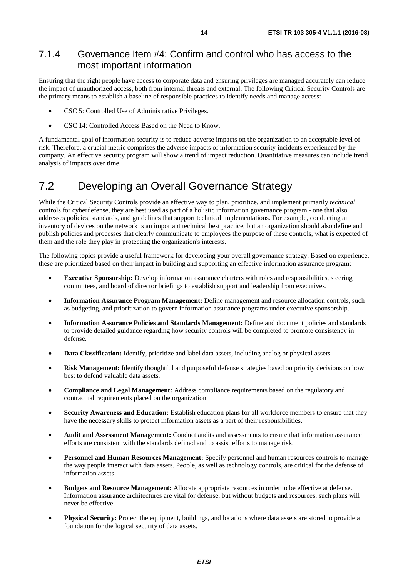#### <span id="page-13-0"></span>7.1.4 Governance Item #4: Confirm and control who has access to the most important information

Ensuring that the right people have access to corporate data and ensuring privileges are managed accurately can reduce the impact of unauthorized access, both from internal threats and external. The following Critical Security Controls are the primary means to establish a baseline of responsible practices to identify needs and manage access:

- CSC 5: Controlled Use of Administrative Privileges.
- CSC 14: Controlled Access Based on the Need to Know.

A fundamental goal of information security is to reduce adverse impacts on the organization to an acceptable level of risk. Therefore, a crucial metric comprises the adverse impacts of information security incidents experienced by the company. An effective security program will show a trend of impact reduction. Quantitative measures can include trend analysis of impacts over time.

### 7.2 Developing an Overall Governance Strategy

While the Critical Security Controls provide an effective way to plan, prioritize, and implement primarily *technical* controls for cyberdefense, they are best used as part of a holistic information governance program - one that also addresses policies, standards, and guidelines that support technical implementations. For example, conducting an inventory of devices on the network is an important technical best practice, but an organization should also define and publish policies and processes that clearly communicate to employees the purpose of these controls, what is expected of them and the role they play in protecting the organization's interests.

The following topics provide a useful framework for developing your overall governance strategy. Based on experience, these are prioritized based on their impact in building and supporting an effective information assurance program:

- **Executive Sponsorship:** Develop information assurance charters with roles and responsibilities, steering committees, and board of director briefings to establish support and leadership from executives.
- **Information Assurance Program Management:** Define management and resource allocation controls, such as budgeting, and prioritization to govern information assurance programs under executive sponsorship.
- **Information Assurance Policies and Standards Management:** Define and document policies and standards to provide detailed guidance regarding how security controls will be completed to promote consistency in defense.
- **Data Classification:** Identify, prioritize and label data assets, including analog or physical assets.
- **Risk Management:** Identify thoughtful and purposeful defense strategies based on priority decisions on how best to defend valuable data assets.
- **Compliance and Legal Management:** Address compliance requirements based on the regulatory and contractual requirements placed on the organization.
- **Security Awareness and Education:** Establish education plans for all workforce members to ensure that they have the necessary skills to protect information assets as a part of their responsibilities.
- **Audit and Assessment Management:** Conduct audits and assessments to ensure that information assurance efforts are consistent with the standards defined and to assist efforts to manage risk.
- **Personnel and Human Resources Management:** Specify personnel and human resources controls to manage the way people interact with data assets. People, as well as technology controls, are critical for the defense of information assets.
- **Budgets and Resource Management:** Allocate appropriate resources in order to be effective at defense. Information assurance architectures are vital for defense, but without budgets and resources, such plans will never be effective.
- **Physical Security:** Protect the equipment, buildings, and locations where data assets are stored to provide a foundation for the logical security of data assets.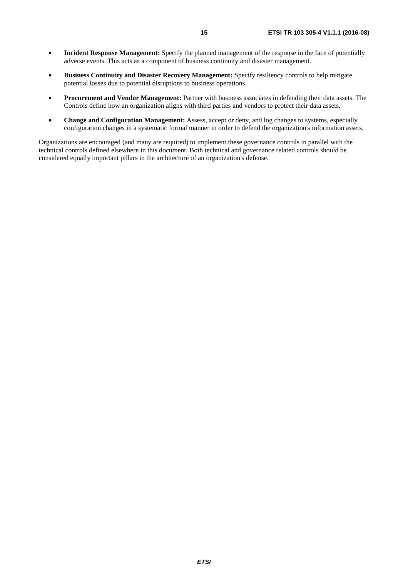- **Incident Response Management:** Specify the planned management of the response in the face of potentially adverse events. This acts as a component of business continuity and disaster management.
- **Business Continuity and Disaster Recovery Management:** Specify resiliency controls to help mitigate potential losses due to potential disruptions to business operations.
- **Procurement and Vendor Management:** Partner with business associates in defending their data assets. The Controls define how an organization aligns with third parties and vendors to protect their data assets.
- **Change and Configuration Management:** Assess, accept or deny, and log changes to systems, especially configuration changes in a systematic formal manner in order to defend the organization's information assets.

Organizations are encouraged (and many are required) to implement these governance controls in parallel with the technical controls defined elsewhere in this document. Both technical and governance related controls should be considered equally important pillars in the architecture of an organization's defense.